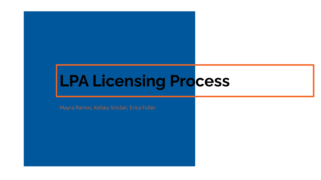# **LPA Licensing Process**

Mayra Ramos, Kelsey Sinclair, Erica Fuller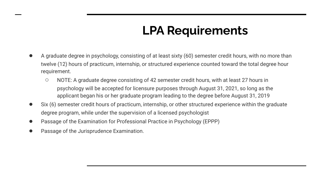## **LPA Requirements**

- A graduate degree in psychology, consisting of at least sixty (60) semester credit hours, with no more than twelve (12) hours of practicum, internship, or structured experience counted toward the total degree hour requirement.
	- NOTE: A graduate degree consisting of 42 semester credit hours, with at least 27 hours in psychology will be accepted for licensure purposes through August 31, 2021, so long as the applicant began his or her graduate program leading to the degree before August 31, 2019
- Six (6) semester credit hours of practicum, internship, or other structured experience within the graduate degree program, while under the supervision of a licensed psychologist
- Passage of the Examination for Professional Practice in Psychology (EPPP)
- Passage of the Jurisprudence Examination.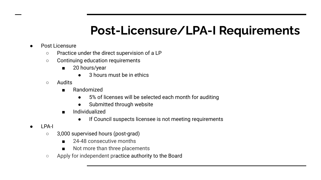## **Post-Licensure/LPA-I Requirements**

- Post Licensure
	- Practice under the direct supervision of a LP
	- Continuing education requirements
		- 20 hours/year
			- 3 hours must be in ethics
	- Audits
		- Randomized
			- 5% of licenses will be selected each month for auditing
			- Submitted through website
		- **Individualized** 
			- If Council suspects licensee is not meeting requirements

- LPA-I
	- 3,000 supervised hours (post-grad)
		- 24-48 consecutive months
		- Not more than three placements
	- Apply for independent practice authority to the Board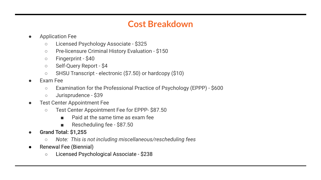### **Cost Breakdown**

- **Application Fee** 
	- Licensed Psychology Associate \$325
	- Pre-licensure Criminal History Evaluation \$150
	- Fingerprint \$40
	- Self-Query Report \$4
	- SHSU Transcript electronic (\$7.50) or hardcopy (\$10)
- **Exam Fee** 
	- Examination for the Professional Practice of Psychology (EPPP) \$600
	- Jurisprudence \$39
- **Test Center Appointment Fee** 
	- Test Center Appointment Fee for EPPP- \$87.50
		- Paid at the same time as exam fee
		- Rescheduling fee \$87.50
- **● Grand Total: \$1,255**
	- *○ Note: This is not including miscellaneous/rescheduling fees*
- Renewal Fee (Biennial)
	- Licensed Psychological Associate \$238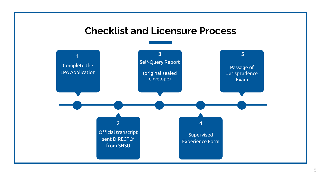### **Checklist and Licensure Process**

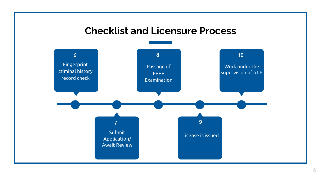### **Checklist and Licensure Process**

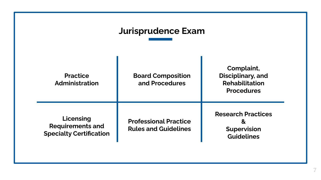## **Jurisprudence Exam**

| <b>Practice</b><br>Administration                                      | <b>Board Composition</b><br>and Procedures                  | Complaint,<br>Disciplinary, and<br><b>Rehabilitation</b><br><b>Procedures</b> |
|------------------------------------------------------------------------|-------------------------------------------------------------|-------------------------------------------------------------------------------|
| Licensing<br><b>Requirements and</b><br><b>Specialty Certification</b> | <b>Professional Practice</b><br><b>Rules and Guidelines</b> | <b>Research Practices</b><br>&<br><b>Supervision</b><br><b>Guidelines</b>     |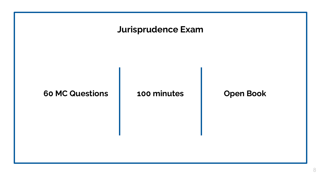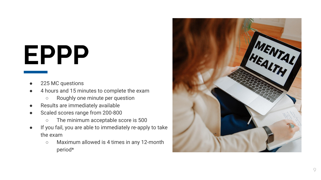# **EPPP**

- 225 MC questions
- 4 hours and 15 minutes to complete the exam
	- Roughly one minute per question
- Results are immediately available
- Scaled scores range from 200-800
	- The minimum acceptable score is 500
- If you fail, you are able to immediately re-apply to take the exam
	- Maximum allowed is 4 times in any 12-month period\*

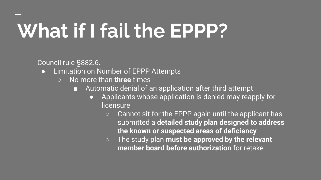# **What if I fail the EPPP?**

Council rule §882.6.

- **•** Limitation on Number of EPPP Attempts
	- No more than **three** times
		- Automatic denial of an application after third attempt
			- Applicants whose application is denied may reapply for licensure
				- Cannot sit for the EPPP again until the applicant has submitted a **detailed study plan designed to address the known or suspected areas of deficiency**
				- The study plan **must be approved by the relevant member board before authorization** for retake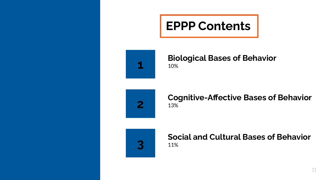



#### **Biological Bases of Behavior** 10%



#### 13% **Cognitive-Affective Bases of Behavior**



#### 11% **Social and Cultural Bases of Behavior**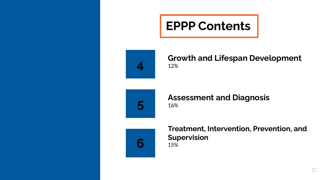## **EPPP Contents**



#### **Growth and Lifespan Development** 12%



#### 16% **Assessment and Diagnosis**



15% **Treatment, Intervention, Prevention, and Supervision**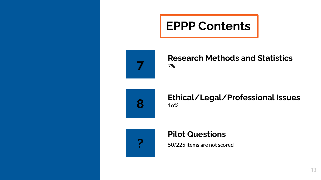



#### **Research Methods and Statistics** 7%



#### 16% **Ethical/Legal/Professional Issues**



#### **Pilot Questions**

50/225 items are not scored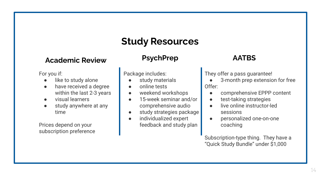## **Study Resources**

#### **Academic Review**

For you if:

- like to study alone
- have received a degree within the last 2-3 years
- visual learners
- study anywhere at any time

Prices depend on your subscription preference

#### **PsychPrep**

Package includes:

- study materials
- online tests
- weekend workshops
- 15-week seminar and/or comprehensive audio
- study strategies package
- individualized expert feedback and study plan

#### **AATBS**

They offer a pass guarantee!

- 3-month prep extension for free Offer:
	- comprehensive EPPP content
	- test-taking strategies
	- live online instructor-led sessions
	- personalized one-on-one coaching

Subscription-type thing. They have a "Quick Study Bundle" under \$1,000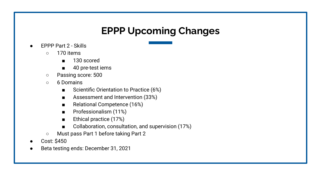## **EPPP Upcoming Changes**

- **EPPP Part 2 Skills** 
	- 170 items
		- 130 scored
		- 40 pre-test iems
	- Passing score: 500
	- 6 Domains
		- Scientific Orientation to Practice (6%)
		- Assessment and Intervention (33%)
		- Relational Competence (16%)
		- Professionalism (11%)
		- Ethical practice (17%)
		- Collaboration, consultation, and supervision (17%)
	- Must pass Part 1 before taking Part 2
- Cost: \$450
- Beta testing ends: December 31, 2021